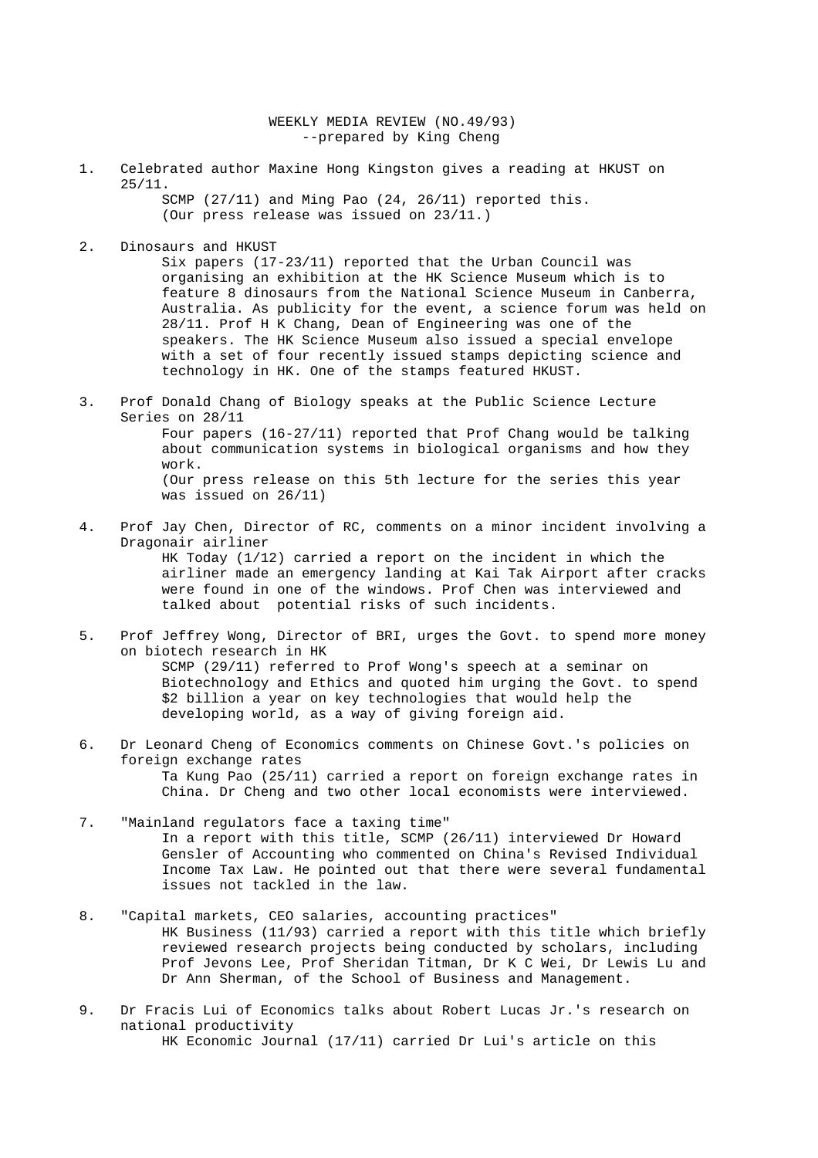WEEKLY MEDIA REVIEW (NO.49/93) --prepared by King Cheng

1. Celebrated author Maxine Hong Kingston gives a reading at HKUST on 25/11.

> SCMP (27/11) and Ming Pao (24, 26/11) reported this. (Our press release was issued on 23/11.)

2. Dinosaurs and HKUST

 Six papers (17-23/11) reported that the Urban Council was organising an exhibition at the HK Science Museum which is to feature 8 dinosaurs from the National Science Museum in Canberra, Australia. As publicity for the event, a science forum was held on 28/11. Prof H K Chang, Dean of Engineering was one of the speakers. The HK Science Museum also issued a special envelope with a set of four recently issued stamps depicting science and technology in HK. One of the stamps featured HKUST.

3. Prof Donald Chang of Biology speaks at the Public Science Lecture Series on 28/11

> Four papers (16-27/11) reported that Prof Chang would be talking about communication systems in biological organisms and how they work. (Our press release on this 5th lecture for the series this year

```
 was issued on 26/11)
```
- 4. Prof Jay Chen, Director of RC, comments on a minor incident involving a Dragonair airliner HK Today (1/12) carried a report on the incident in which the airliner made an emergency landing at Kai Tak Airport after cracks were found in one of the windows. Prof Chen was interviewed and talked about potential risks of such incidents.
- 5. Prof Jeffrey Wong, Director of BRI, urges the Govt. to spend more money on biotech research in HK SCMP (29/11) referred to Prof Wong's speech at a seminar on Biotechnology and Ethics and quoted him urging the Govt. to spend \$2 billion a year on key technologies that would help the developing world, as a way of giving foreign aid.
- 6. Dr Leonard Cheng of Economics comments on Chinese Govt.'s policies on foreign exchange rates Ta Kung Pao (25/11) carried a report on foreign exchange rates in China. Dr Cheng and two other local economists were interviewed.
- 7. "Mainland regulators face a taxing time" In a report with this title, SCMP (26/11) interviewed Dr Howard Gensler of Accounting who commented on China's Revised Individual Income Tax Law. He pointed out that there were several fundamental issues not tackled in the law.
- 8. "Capital markets, CEO salaries, accounting practices" HK Business (11/93) carried a report with this title which briefly reviewed research projects being conducted by scholars, including Prof Jevons Lee, Prof Sheridan Titman, Dr K C Wei, Dr Lewis Lu and Dr Ann Sherman, of the School of Business and Management.
- 9. Dr Fracis Lui of Economics talks about Robert Lucas Jr.'s research on national productivity HK Economic Journal (17/11) carried Dr Lui's article on this